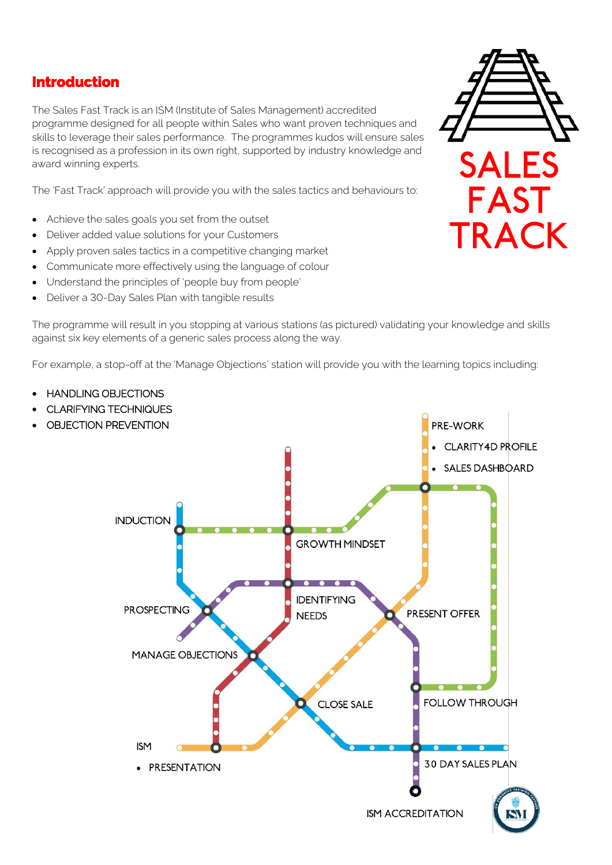## **Introduction**

 The Sales Fast Track is an ISM (Institute of Sales Management) accredited programme designed for all people within Sales who want proven techniques and skills to leverage their sales performance. The programmes kudos will ensure sales is recognised as a profession in its own right, supported by industry knowledge and award winning experts.

The 'Fast Track' approach will provide you with the sales tactics and behaviours to:

- Achieve the sales goals you set from the outset
- Deliver added value solutions for your Customers
- Apply proven sales tactics in a competitive changing market
- Communicate more effectively using the language of colour
- Understand the principles of 'people buy from people'
- Deliver a 30-Day Sales Plan with tangible results

• HANDLING OBJECTIONS

The programme will result in you stopping at various stations (as pictured) validating your knowledge and skills against six key elements of a generic sales process along the way.

For example, a stop-off at the 'Manage Objections' station will provide you with the learning topics including:

• CLARIFYING TECHNIQUES PRE-WORK • OBJECTION PREVENTION CLARITY4D PROFILE **SALES DASHBOARD INDUCTION GROWTH MINDSET IDENTIFYING PROSPECTING** PRESENT OFFER **NEEDS MANAGE OBJECTIONS CLOSE SALE FOLLOW THROUGH ISM** 30 DAY SALES PLAN • PRESENTATION **ISM ACCREDITATION** 

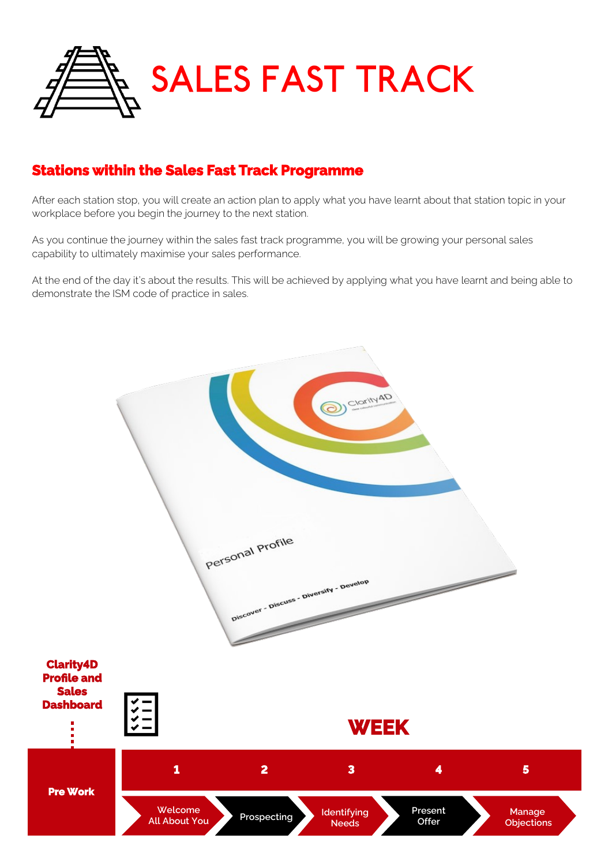

# **Stations within the Sales Fast Track Programme**

After each station stop, you will create an action plan to apply what you have learnt about that station topic in your workplace before you begin the journey to the next station.

As you continue the journey within the sales fast track programme, you will be growing your personal sales capability to ultimately maximise your sales performance.

At the end of the day it's about the results. This will be achieved by applying what you have learnt and being able to demonstrate the ISM code of practice in sales.

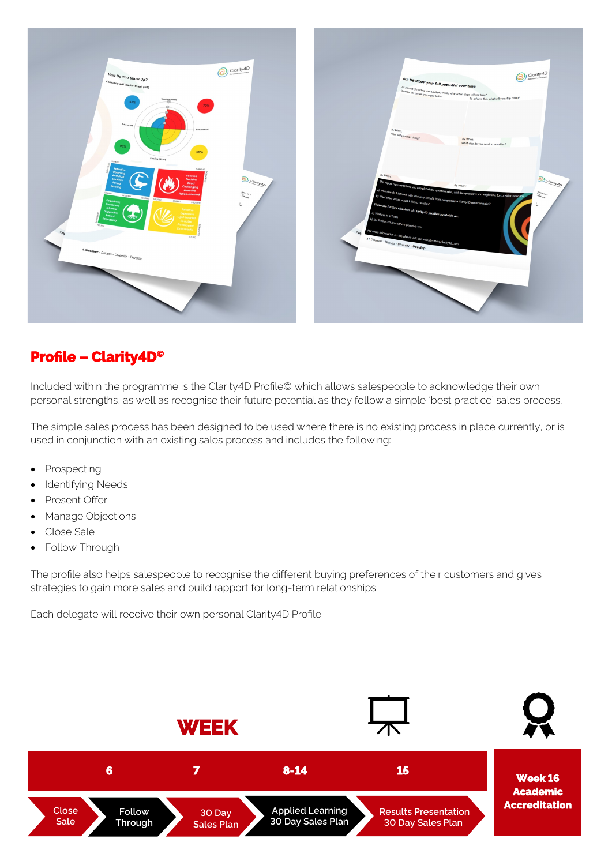

## **Profile – Clarity4D©**

Included within the programme is the Clarity4D Profile© which allows salespeople to acknowledge their own personal strengths, as well as recognise their future potential as they follow a simple 'best practice' sales process.

The simple sales process has been designed to be used where there is no existing process in place currently, or is used in conjunction with an existing sales process and includes the following:

- Prospecting
- **Identifying Needs**
- Present Offer
- Manage Objections
- Close Sale
- Follow Through

The profile also helps salespeople to recognise the different buying preferences of their customers and gives strategies to gain more sales and build rapport for long-term relationships.

Each delegate will receive their own personal Clarity4D Profile.